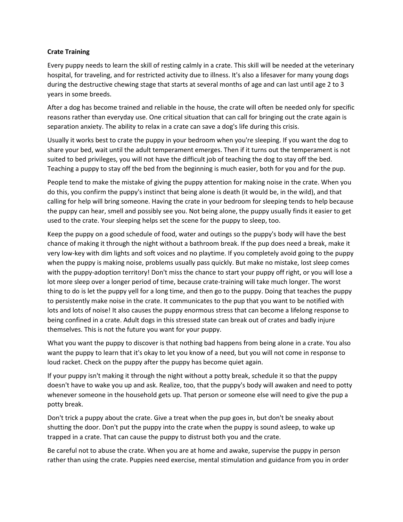# **Crate Training**

Every puppy needs to learn the skill of resting calmly in a crate. This skill will be needed at the veterinary hospital, for traveling, and for restricted activity due to illness. It's also a lifesaver for many young dogs during the destructive chewing stage that starts at several months of age and can last until age 2 to 3 years in some breeds.

After a dog has become trained and reliable in the house, the crate will often be needed only for specific reasons rather than everyday use. One critical situation that can call for bringing out the crate again is separation anxiety. The ability to relax in a crate can save a dog's life during this crisis.

Usually it works best to crate the puppy in your bedroom when you're sleeping. If you want the dog to share your bed, wait until the adult temperament emerges. Then if it turns out the temperament is not suited to bed privileges, you will not have the difficult job of teaching the dog to stay off the bed. Teaching a puppy to stay off the bed from the beginning is much easier, both for you and for the pup.

People tend to make the mistake of giving the puppy attention for making noise in the crate. When you do this, you confirm the puppy's instinct that being alone is death (it would be, in the wild), and that calling for help will bring someone. Having the crate in your bedroom for sleeping tends to help because the puppy can hear, smell and possibly see you. Not being alone, the puppy usually finds it easier to get used to the crate. Your sleeping helps set the scene for the puppy to sleep, too.

Keep the puppy on a good schedule of food, water and outings so the puppy's body will have the best chance of making it through the night without a bathroom break. If the pup does need a break, make it very low-key with dim lights and soft voices and no playtime. If you completely avoid going to the puppy when the puppy is making noise, problems usually pass quickly. But make no mistake, lost sleep comes with the puppy-adoption territory! Don't miss the chance to start your puppy off right, or you will lose a lot more sleep over a longer period of time, because crate-training will take much longer. The worst thing to do is let the puppy yell for a long time, and then go to the puppy. Doing that teaches the puppy to persistently make noise in the crate. It communicates to the pup that you want to be notified with lots and lots of noise! It also causes the puppy enormous stress that can become a lifelong response to being confined in a crate. Adult dogs in this stressed state can break out of crates and badly injure themselves. This is not the future you want for your puppy.

What you want the puppy to discover is that nothing bad happens from being alone in a crate. You also want the puppy to learn that it's okay to let you know of a need, but you will not come in response to loud racket. Check on the puppy after the puppy has become quiet again.

If your puppy isn't making it through the night without a potty break, schedule it so that the puppy doesn't have to wake you up and ask. Realize, too, that the puppy's body will awaken and need to potty whenever someone in the household gets up. That person or someone else will need to give the pup a potty break.

Don't trick a puppy about the crate. Give a treat when the pup goes in, but don't be sneaky about shutting the door. Don't put the puppy into the crate when the puppy is sound asleep, to wake up trapped in a crate. That can cause the puppy to distrust both you and the crate.

Be careful not to abuse the crate. When you are at home and awake, supervise the puppy in person rather than using the crate. Puppies need exercise, mental stimulation and guidance from you in order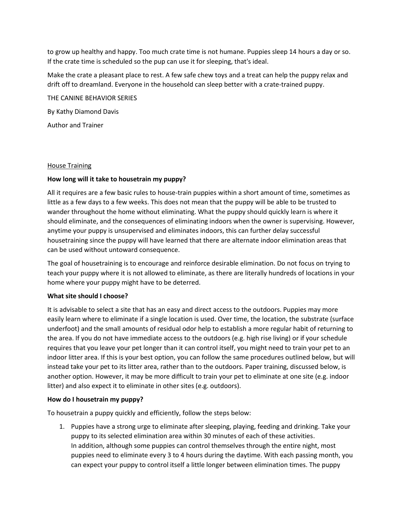to grow up healthy and happy. Too much crate time is not humane. Puppies sleep 14 hours a day or so. If the crate time is scheduled so the pup can use it for sleeping, that's ideal.

Make the crate a pleasant place to rest. A few safe chew toys and a treat can help the puppy relax and drift off to dreamland. Everyone in the household can sleep better with a crate-trained puppy.

THE CANINE BEHAVIOR SERIES By Kathy Diamond Davis Author and Trainer

#### House Training

### **How long will it take to housetrain my puppy?**

All it requires are a few basic rules to house-train puppies within a short amount of time, sometimes as little as a few days to a few weeks. This does not mean that the puppy will be able to be trusted to wander throughout the home without eliminating. What the puppy should quickly learn is where it should eliminate, and the consequences of eliminating indoors when the owner is supervising. However, anytime your puppy is unsupervised and eliminates indoors, this can further delay successful housetraining since the puppy will have learned that there are alternate indoor elimination areas that can be used without untoward consequence.

The goal of housetraining is to encourage and reinforce desirable elimination. Do not focus on trying to teach your puppy where it is not allowed to eliminate, as there are literally hundreds of locations in your home where your puppy might have to be deterred.

#### **What site should I choose?**

It is advisable to select a site that has an easy and direct access to the outdoors. Puppies may more easily learn where to eliminate if a single location is used. Over time, the location, the substrate (surface underfoot) and the small amounts of residual odor help to establish a more regular habit of returning to the area. If you do not have immediate access to the outdoors (e.g. high rise living) or if your schedule requires that you leave your pet longer than it can control itself, you might need to train your pet to an indoor litter area. If this is your best option, you can follow the same procedures outlined below, but will instead take your pet to its litter area, rather than to the outdoors. Paper training, discussed below, is another option. However, it may be more difficult to train your pet to eliminate at one site (e.g. indoor litter) and also expect it to eliminate in other sites (e.g. outdoors).

#### **How do I housetrain my puppy?**

To housetrain a puppy quickly and efficiently, follow the steps below:

1. Puppies have a strong urge to eliminate after sleeping, playing, feeding and drinking. Take your puppy to its selected elimination area within 30 minutes of each of these activities. In addition, although some puppies can control themselves through the entire night, most puppies need to eliminate every 3 to 4 hours during the daytime. With each passing month, you can expect your puppy to control itself a little longer between elimination times. The puppy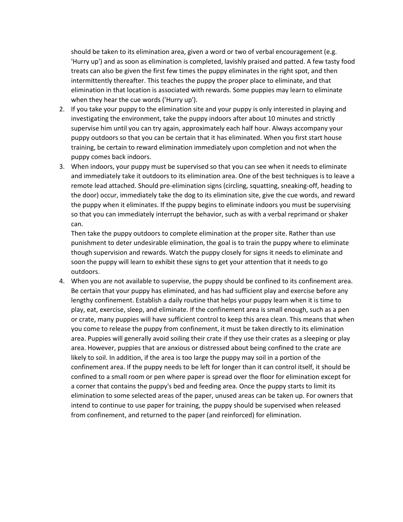should be taken to its elimination area, given a word or two of verbal encouragement (e.g. 'Hurry up') and as soon as elimination is completed, lavishly praised and patted. A few tasty food treats can also be given the first few times the puppy eliminates in the right spot, and then intermittently thereafter. This teaches the puppy the proper place to eliminate, and that elimination in that location is associated with rewards. Some puppies may learn to eliminate when they hear the cue words ('Hurry up').

- 2. If you take your puppy to the elimination site and your puppy is only interested in playing and investigating the environment, take the puppy indoors after about 10 minutes and strictly supervise him until you can try again, approximately each half hour. Always accompany your puppy outdoors so that you can be certain that it has eliminated. When you first start house training, be certain to reward elimination immediately upon completion and not when the puppy comes back indoors.
- 3. When indoors, your puppy must be supervised so that you can see when it needs to eliminate and immediately take it outdoors to its elimination area. One of the best techniques is to leave a remote lead attached. Should pre-elimination signs (circling, squatting, sneaking-off, heading to the door) occur, immediately take the dog to its elimination site, give the cue words, and reward the puppy when it eliminates. If the puppy begins to eliminate indoors you must be supervising so that you can immediately interrupt the behavior, such as with a verbal reprimand or shaker can.

Then take the puppy outdoors to complete elimination at the proper site. Rather than use punishment to deter undesirable elimination, the goal is to train the puppy where to eliminate though supervision and rewards. Watch the puppy closely for signs it needs to eliminate and soon the puppy will learn to exhibit these signs to get your attention that it needs to go outdoors.

4. When you are not available to supervise, the puppy should be confined to its confinement area. Be certain that your puppy has eliminated, and has had sufficient play and exercise before any lengthy confinement. Establish a daily routine that helps your puppy learn when it is time to play, eat, exercise, sleep, and eliminate. If the confinement area is small enough, such as a pen or crate, many puppies will have sufficient control to keep this area clean. This means that when you come to release the puppy from confinement, it must be taken directly to its elimination area. Puppies will generally avoid soiling their crate if they use their crates as a sleeping or play area. However, puppies that are anxious or distressed about being confined to the crate are likely to soil. In addition, if the area is too large the puppy may soil in a portion of the confinement area. If the puppy needs to be left for longer than it can control itself, it should be confined to a small room or pen where paper is spread over the floor for elimination except for a corner that contains the puppy's bed and feeding area. Once the puppy starts to limit its elimination to some selected areas of the paper, unused areas can be taken up. For owners that intend to continue to use paper for training, the puppy should be supervised when released from confinement, and returned to the paper (and reinforced) for elimination.